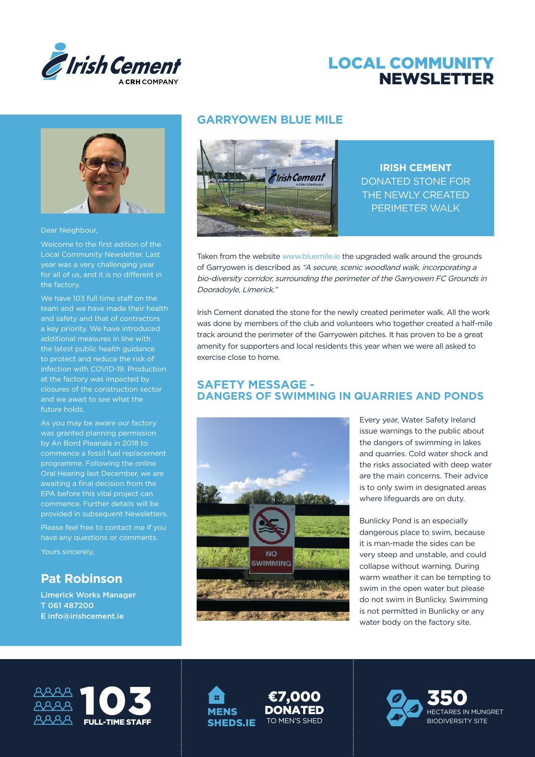

# LOCAL COMMUNITY NEWSLETTER



Dear Neighbour,

Welcome to the first edition of the Local Community Newsletter. Last year was a very challenging year for all of us, and it is no different in the factory.

We have 103 full time staff on the team and we have made their health the latest public health guidance infection with COVID-19. Production at the factory was impacted by and we await to see what the future holds.

As you may be aware our factory was granted planning permission by An Bord Pleanala in 2018 to commence a fossil fuel replacement programme. Following the online Oral Hearing last December, we are awaiting a final decision from the EPA before this vital project can commence. Further details will be provided in subsequent Newsletters.

Please feel free to contact me if you have any questions or comments.

Yours sincerely,

### **Pat Robinson**

Limerick Works Manager T 061 487200 E info@irishcement.ie

#### **GARRYOWEN BLUE MILE**



**IRISH CEMENT** DONATED STONE FOR THE NEWLY CREATED PERIMETER WALK

Taken from the website www.bluemile.ie the upgraded walk around the grounds of Garryowen is described as "A secure, scenic woodland walk, incorporating a bio-diversity corridor, surrounding the perimeter of the Garryowen FC Grounds in Dooradoyle, Limerick."

Irish Cement donated the stone for the newly created perimeter walk. All the work was done by members of the club and volunteers who together created a half-mile track around the perimeter of the Garryowen pitches. It has proven to be a great amenity for supporters and local residents this year when we were all asked to exercise close to home.

#### **SAFETY MESSAGE - DANGERS OF SWIMMING IN QUARRIES AND PONDS**



Every year, Water Safety Ireland issue warnings to the public about the dangers of swimming in lakes and quarries. Cold water shock and the risks associated with deep water are the main concerns. Their advice is to only swim in designated areas where lifeguards are on duty.

Bunlicky Pond is an especially dangerous place to swim, because it is man-made the sides can be very steep and unstable, and could collapse without warning. During warm weather it can be tempting to swim in the open water but please do not swim in Bunlicky. Swimming is not permitted in Bunlicky or any water body on the factory site.



1991 **MENS** SHEDS.IE

TO MEN'S SHED ¤7,000 **DONATED**